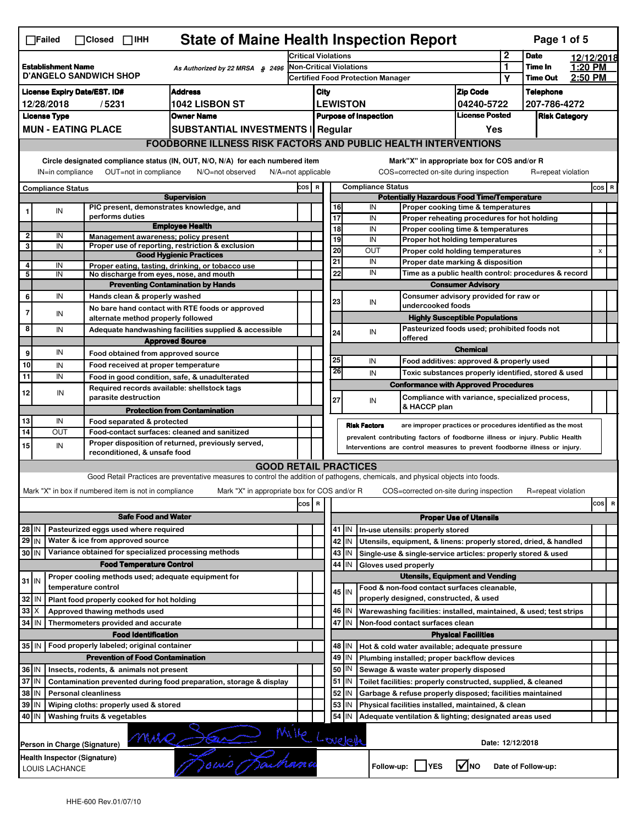|                                                                                               | <b>State of Maine Health Inspection Report</b><br>Page 1 of 5<br>$\Box$ Failed<br>$\Box$ Closed $\Box$ IHH                    |                                                                                                                                                                                                                                                                  |                                                       |                                                                                                                                   |                                                       |     |          |                                                    |                          |                                                                                                        |                                       |            |                    |  |          |
|-----------------------------------------------------------------------------------------------|-------------------------------------------------------------------------------------------------------------------------------|------------------------------------------------------------------------------------------------------------------------------------------------------------------------------------------------------------------------------------------------------------------|-------------------------------------------------------|-----------------------------------------------------------------------------------------------------------------------------------|-------------------------------------------------------|-----|----------|----------------------------------------------------|--------------------------|--------------------------------------------------------------------------------------------------------|---------------------------------------|------------|--------------------|--|----------|
|                                                                                               |                                                                                                                               |                                                                                                                                                                                                                                                                  | Critical Violations                                   |                                                                                                                                   |                                                       |     |          |                                                    | $\mathbf 2$              | <b>Date</b>                                                                                            |                                       | 12/12/2018 |                    |  |          |
| <b>Establishment Name</b><br>As Authorized by 22 MRSA § 2496<br><b>D'ANGELO SANDWICH SHOP</b> |                                                                                                                               |                                                                                                                                                                                                                                                                  | <b>Non-Critical Violations</b>                        |                                                                                                                                   |                                                       |     |          |                                                    | 1<br>Υ                   | Time In<br><b>Time Out</b>                                                                             | 1:20 PM<br>2:50 PM                    |            |                    |  |          |
| <b>Address</b><br><b>License Expiry Date/EST. ID#</b>                                         |                                                                                                                               |                                                                                                                                                                                                                                                                  | <b>Certified Food Protection Manager</b>              |                                                                                                                                   |                                                       |     |          | <b>Zip Code</b>                                    |                          | <b>Telephone</b>                                                                                       |                                       |            |                    |  |          |
| 1042 LISBON ST<br>12/28/2018<br>/5231                                                         |                                                                                                                               |                                                                                                                                                                                                                                                                  |                                                       |                                                                                                                                   | City<br><b>LEWISTON</b><br>04240-5722                 |     |          |                                                    |                          | 207-786-4272                                                                                           |                                       |            |                    |  |          |
|                                                                                               | <b>License Type</b><br><b>Owner Name</b>                                                                                      |                                                                                                                                                                                                                                                                  |                                                       |                                                                                                                                   | <b>License Posted</b><br><b>Purpose of Inspection</b> |     |          |                                                    |                          | <b>Risk Category</b>                                                                                   |                                       |            |                    |  |          |
|                                                                                               |                                                                                                                               | <b>MUN - EATING PLACE</b>                                                                                                                                                                                                                                        |                                                       | SUBSTANTIAL INVESTMENTS   Regular                                                                                                 |                                                       | Yes |          |                                                    |                          |                                                                                                        |                                       |            |                    |  |          |
|                                                                                               |                                                                                                                               |                                                                                                                                                                                                                                                                  |                                                       | <b>FOODBORNE ILLNESS RISK FACTORS AND PUBLIC HEALTH INTERVENTIONS</b>                                                             |                                                       |     |          |                                                    |                          |                                                                                                        |                                       |            |                    |  |          |
|                                                                                               | Circle designated compliance status (IN, OUT, N/O, N/A) for each numbered item<br>Mark"X" in appropriate box for COS and/or R |                                                                                                                                                                                                                                                                  |                                                       |                                                                                                                                   |                                                       |     |          |                                                    |                          |                                                                                                        |                                       |            |                    |  |          |
|                                                                                               | IN=in compliance<br>OUT=not in compliance<br>N/O=not observed<br>N/A=not applicable                                           |                                                                                                                                                                                                                                                                  |                                                       |                                                                                                                                   | COS R                                                 |     |          |                                                    | <b>Compliance Status</b> | COS=corrected on-site during inspection                                                                |                                       |            | R=repeat violation |  | $cos$ R  |
| <b>Compliance Status</b><br><b>Supervision</b>                                                |                                                                                                                               |                                                                                                                                                                                                                                                                  |                                                       |                                                                                                                                   |                                                       |     |          | <b>Potentially Hazardous Food Time/Temperature</b> |                          |                                                                                                        |                                       |            |                    |  |          |
| 1                                                                                             | IN                                                                                                                            |                                                                                                                                                                                                                                                                  |                                                       | PIC present, demonstrates knowledge, and                                                                                          |                                                       |     | 16       |                                                    | IN                       | Proper cooking time & temperatures                                                                     |                                       |            |                    |  |          |
|                                                                                               |                                                                                                                               |                                                                                                                                                                                                                                                                  | performs duties                                       | <b>Employee Health</b>                                                                                                            |                                                       |     | 17<br>18 |                                                    | IN                       | Proper reheating procedures for hot holding                                                            |                                       |            |                    |  |          |
| $\mathbf 2$                                                                                   | IN                                                                                                                            |                                                                                                                                                                                                                                                                  |                                                       | Management awareness; policy present                                                                                              |                                                       |     | 19       |                                                    | IN<br>IN                 | Proper cooling time & temperatures<br>Proper hot holding temperatures                                  |                                       |            |                    |  |          |
| 3                                                                                             | IN                                                                                                                            |                                                                                                                                                                                                                                                                  |                                                       | Proper use of reporting, restriction & exclusion                                                                                  |                                                       |     | 20       |                                                    | <b>OUT</b>               | Proper cold holding temperatures                                                                       |                                       |            |                    |  | X        |
| 4                                                                                             | IN                                                                                                                            |                                                                                                                                                                                                                                                                  |                                                       | <b>Good Hygienic Practices</b><br>Proper eating, tasting, drinking, or tobacco use                                                |                                                       |     | 21       |                                                    | IN                       | Proper date marking & disposition                                                                      |                                       |            |                    |  |          |
| 5                                                                                             | IN                                                                                                                            |                                                                                                                                                                                                                                                                  |                                                       | No discharge from eyes, nose, and mouth                                                                                           |                                                       |     | 22       |                                                    | IN                       | Time as a public health control: procedures & record                                                   |                                       |            |                    |  |          |
|                                                                                               |                                                                                                                               |                                                                                                                                                                                                                                                                  |                                                       | <b>Preventing Contamination by Hands</b>                                                                                          |                                                       |     |          |                                                    |                          |                                                                                                        | <b>Consumer Advisory</b>              |            |                    |  |          |
| 6                                                                                             | IN                                                                                                                            |                                                                                                                                                                                                                                                                  | Hands clean & properly washed                         |                                                                                                                                   |                                                       |     | 23       |                                                    | IN                       | Consumer advisory provided for raw or                                                                  |                                       |            |                    |  |          |
| 7                                                                                             | IN                                                                                                                            |                                                                                                                                                                                                                                                                  |                                                       | No bare hand contact with RTE foods or approved                                                                                   |                                                       |     |          |                                                    |                          | undercooked foods                                                                                      |                                       |            |                    |  |          |
| 8                                                                                             |                                                                                                                               |                                                                                                                                                                                                                                                                  | alternate method properly followed                    |                                                                                                                                   |                                                       |     |          |                                                    |                          | Pasteurized foods used; prohibited foods not                                                           | <b>Highly Susceptible Populations</b> |            |                    |  |          |
|                                                                                               | IN                                                                                                                            |                                                                                                                                                                                                                                                                  |                                                       | Adequate handwashing facilities supplied & accessible<br><b>Approved Source</b>                                                   |                                                       |     | 24       |                                                    | IN                       | offered                                                                                                |                                       |            |                    |  |          |
| 9                                                                                             | IN                                                                                                                            |                                                                                                                                                                                                                                                                  | Food obtained from approved source                    |                                                                                                                                   |                                                       |     |          |                                                    |                          |                                                                                                        | <b>Chemical</b>                       |            |                    |  |          |
| 10                                                                                            | IN                                                                                                                            |                                                                                                                                                                                                                                                                  | Food received at proper temperature                   |                                                                                                                                   |                                                       |     | 25       |                                                    | IN                       | Food additives: approved & properly used                                                               |                                       |            |                    |  |          |
| 11                                                                                            | IN                                                                                                                            |                                                                                                                                                                                                                                                                  |                                                       | Food in good condition, safe, & unadulterated                                                                                     |                                                       |     | 26       |                                                    | IN                       | Toxic substances properly identified, stored & used                                                    |                                       |            |                    |  |          |
|                                                                                               |                                                                                                                               |                                                                                                                                                                                                                                                                  |                                                       | Required records available: shellstock tags                                                                                       |                                                       |     |          |                                                    |                          | <b>Conformance with Approved Procedures</b>                                                            |                                       |            |                    |  |          |
| 12                                                                                            | IN                                                                                                                            |                                                                                                                                                                                                                                                                  | parasite destruction                                  |                                                                                                                                   |                                                       |     | 27       |                                                    | IN                       | Compliance with variance, specialized process,                                                         |                                       |            |                    |  |          |
|                                                                                               |                                                                                                                               |                                                                                                                                                                                                                                                                  |                                                       | <b>Protection from Contamination</b>                                                                                              |                                                       |     |          |                                                    |                          | & HACCP plan                                                                                           |                                       |            |                    |  |          |
| 13                                                                                            | IN<br>OUT                                                                                                                     |                                                                                                                                                                                                                                                                  | Food separated & protected                            |                                                                                                                                   |                                                       |     |          | <b>Risk Factors</b>                                |                          | are improper practices or procedures identified as the most                                            |                                       |            |                    |  |          |
| 14                                                                                            |                                                                                                                               | Food-contact surfaces: cleaned and sanitized<br>prevalent contributing factors of foodborne illness or injury. Public Health<br>Proper disposition of returned, previously served,<br>Interventions are control measures to prevent foodborne illness or injury. |                                                       |                                                                                                                                   |                                                       |     |          |                                                    |                          |                                                                                                        |                                       |            |                    |  |          |
| 15 <sup>1</sup>                                                                               | IN                                                                                                                            |                                                                                                                                                                                                                                                                  | reconditioned, & unsafe food                          |                                                                                                                                   |                                                       |     |          |                                                    |                          |                                                                                                        |                                       |            |                    |  |          |
|                                                                                               |                                                                                                                               |                                                                                                                                                                                                                                                                  |                                                       | <b>GOOD RETAIL PRACTICES</b>                                                                                                      |                                                       |     |          |                                                    |                          |                                                                                                        |                                       |            |                    |  |          |
|                                                                                               |                                                                                                                               |                                                                                                                                                                                                                                                                  |                                                       | Good Retail Practices are preventative measures to control the addition of pathogens, chemicals, and physical objects into foods. |                                                       |     |          |                                                    |                          |                                                                                                        |                                       |            |                    |  |          |
|                                                                                               |                                                                                                                               |                                                                                                                                                                                                                                                                  | Mark "X" in box if numbered item is not in compliance | Mark "X" in appropriate box for COS and/or R                                                                                      |                                                       |     |          |                                                    |                          | COS=corrected on-site during inspection                                                                |                                       |            | R=repeat violation |  |          |
|                                                                                               |                                                                                                                               |                                                                                                                                                                                                                                                                  |                                                       |                                                                                                                                   | cos R                                                 |     |          |                                                    |                          |                                                                                                        |                                       |            |                    |  | cos<br>R |
|                                                                                               |                                                                                                                               |                                                                                                                                                                                                                                                                  | <b>Safe Food and Water</b>                            |                                                                                                                                   |                                                       |     |          |                                                    |                          |                                                                                                        | <b>Proper Use of Utensils</b>         |            |                    |  |          |
| 28 IN                                                                                         |                                                                                                                               |                                                                                                                                                                                                                                                                  | Pasteurized eggs used where required                  |                                                                                                                                   |                                                       |     |          |                                                    |                          | 41   IN   In-use utensils: properly stored                                                             |                                       |            |                    |  |          |
| 29 IN                                                                                         |                                                                                                                               |                                                                                                                                                                                                                                                                  | Water & ice from approved source                      |                                                                                                                                   |                                                       |     |          | 42   IN                                            |                          | Utensils, equipment, & linens: properly stored, dried, & handled                                       |                                       |            |                    |  |          |
| 30 IN                                                                                         |                                                                                                                               |                                                                                                                                                                                                                                                                  |                                                       | Variance obtained for specialized processing methods                                                                              |                                                       |     |          | 43 IN                                              |                          | Single-use & single-service articles: properly stored & used                                           |                                       |            |                    |  |          |
|                                                                                               |                                                                                                                               |                                                                                                                                                                                                                                                                  | <b>Food Temperature Control</b>                       |                                                                                                                                   |                                                       |     | 44       | IN                                                 |                          | Gloves used properly                                                                                   |                                       |            |                    |  |          |
| $31$ IN                                                                                       |                                                                                                                               |                                                                                                                                                                                                                                                                  |                                                       | Proper cooling methods used; adequate equipment for                                                                               |                                                       |     |          |                                                    |                          | <b>Utensils, Equipment and Vending</b>                                                                 |                                       |            |                    |  |          |
|                                                                                               |                                                                                                                               | temperature control                                                                                                                                                                                                                                              |                                                       |                                                                                                                                   |                                                       |     |          | 45 IN                                              |                          | Food & non-food contact surfaces cleanable,                                                            |                                       |            |                    |  |          |
| 32 IN                                                                                         |                                                                                                                               |                                                                                                                                                                                                                                                                  | Plant food properly cooked for hot holding            |                                                                                                                                   |                                                       |     |          |                                                    |                          | properly designed, constructed, & used                                                                 |                                       |            |                    |  |          |
| 33 X                                                                                          |                                                                                                                               |                                                                                                                                                                                                                                                                  | Approved thawing methods used                         |                                                                                                                                   |                                                       |     |          | 46 IN                                              |                          | Warewashing facilities: installed, maintained, & used; test strips                                     |                                       |            |                    |  |          |
| 34   IN                                                                                       |                                                                                                                               |                                                                                                                                                                                                                                                                  | Thermometers provided and accurate                    |                                                                                                                                   |                                                       |     | 47       | IN                                                 |                          | Non-food contact surfaces clean                                                                        |                                       |            |                    |  |          |
|                                                                                               |                                                                                                                               |                                                                                                                                                                                                                                                                  | <b>Food Identification</b>                            |                                                                                                                                   |                                                       |     |          |                                                    |                          |                                                                                                        | <b>Physical Facilities</b>            |            |                    |  |          |
|                                                                                               |                                                                                                                               |                                                                                                                                                                                                                                                                  | 35 IN   Food properly labeled; original container     |                                                                                                                                   |                                                       |     |          | 48   IN                                            |                          | Hot & cold water available; adequate pressure                                                          |                                       |            |                    |  |          |
| 36 IN                                                                                         |                                                                                                                               |                                                                                                                                                                                                                                                                  | <b>Prevention of Food Contamination</b>               |                                                                                                                                   |                                                       |     | 50       | 49 IN<br> IN                                       |                          | Plumbing installed; proper backflow devices                                                            |                                       |            |                    |  |          |
| 37 IN                                                                                         |                                                                                                                               |                                                                                                                                                                                                                                                                  | Insects, rodents, & animals not present               | Contamination prevented during food preparation, storage & display                                                                |                                                       |     |          | 51 J IN                                            |                          | Sewage & waste water properly disposed<br>Toilet facilities: properly constructed, supplied, & cleaned |                                       |            |                    |  |          |
| 38 IN                                                                                         |                                                                                                                               | <b>Personal cleanliness</b>                                                                                                                                                                                                                                      |                                                       |                                                                                                                                   |                                                       |     |          | 52 IN                                              |                          | Garbage & refuse properly disposed; facilities maintained                                              |                                       |            |                    |  |          |
| 39 IN                                                                                         |                                                                                                                               |                                                                                                                                                                                                                                                                  | Wiping cloths: properly used & stored                 |                                                                                                                                   |                                                       |     | 53       | IN                                                 |                          | Physical facilities installed, maintained, & clean                                                     |                                       |            |                    |  |          |
| 40 IN                                                                                         |                                                                                                                               |                                                                                                                                                                                                                                                                  |                                                       |                                                                                                                                   |                                                       |     | 54       | IN                                                 |                          |                                                                                                        |                                       |            |                    |  |          |
|                                                                                               | Washing fruits & vegetables<br>Adequate ventilation & lighting; designated areas used                                         |                                                                                                                                                                                                                                                                  |                                                       |                                                                                                                                   |                                                       |     |          |                                                    |                          |                                                                                                        |                                       |            |                    |  |          |
|                                                                                               | Mille Lovelete<br>MMR<br>Date: 12/12/2018<br>Person in Charge (Signature)                                                     |                                                                                                                                                                                                                                                                  |                                                       |                                                                                                                                   |                                                       |     |          |                                                    |                          |                                                                                                        |                                       |            |                    |  |          |
|                                                                                               | omis Jail<br>Health Inspector (Signature)<br>l√lno<br>Follow-up:     YES<br>Date of Follow-up:<br>LOUIS LACHANCE              |                                                                                                                                                                                                                                                                  |                                                       |                                                                                                                                   |                                                       |     |          |                                                    |                          |                                                                                                        |                                       |            |                    |  |          |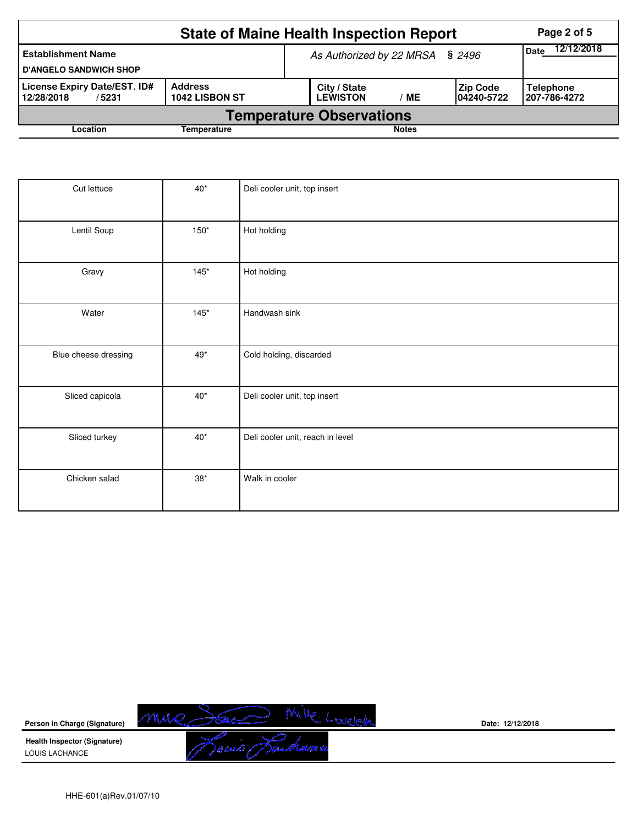|                                                                                         | Page 2 of 5 |  |                                 |                           |                                |                                    |  |  |  |
|-----------------------------------------------------------------------------------------|-------------|--|---------------------------------|---------------------------|--------------------------------|------------------------------------|--|--|--|
| <b>Establishment Name</b><br><b>D'ANGELO SANDWICH SHOP</b>                              |             |  | As Authorized by 22 MRSA § 2496 | 12/12/2018<br><b>Date</b> |                                |                                    |  |  |  |
| License Expiry Date/EST. ID#<br><b>Address</b><br>1042 LISBON ST<br>12/28/2018<br>/5231 |             |  | City / State<br><b>LEWISTON</b> | МE                        | <b>Zip Code</b><br>104240-5722 | <b>Telephone</b><br>  207-786-4272 |  |  |  |
| <b>Temperature Observations</b>                                                         |             |  |                                 |                           |                                |                                    |  |  |  |
| Location                                                                                |             |  | <b>Notes</b>                    |                           |                                |                                    |  |  |  |

| Cut lettuce          | $40*$       | Deli cooler unit, top insert     |
|----------------------|-------------|----------------------------------|
| Lentil Soup          | $150*$      | Hot holding                      |
| Gravy                | $145*$      | Hot holding                      |
| Water                | $145*$      | Handwash sink                    |
| Blue cheese dressing | $49*$       | Cold holding, discarded          |
| Sliced capicola      | $40*$       | Deli cooler unit, top insert     |
| Sliced turkey        | $40*$       | Deli cooler unit, reach in level |
| Chicken salad        | $38^{\ast}$ | Walk in cooler                   |



**Date: 12/12/2018**

HHE-601(a)Rev.01/07/10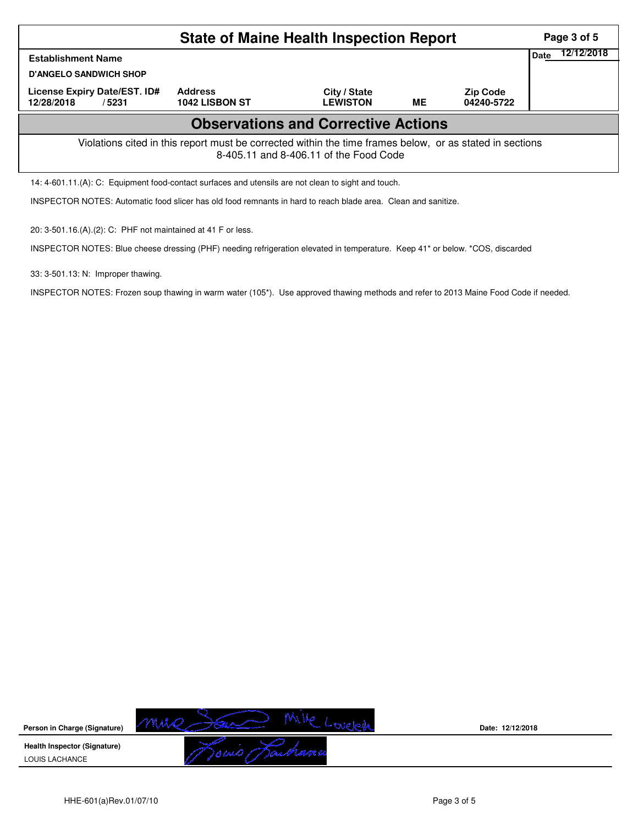|                                                                                                                                                    |                | Page 3 of 5     |    |                 |             |            |  |  |  |
|----------------------------------------------------------------------------------------------------------------------------------------------------|----------------|-----------------|----|-----------------|-------------|------------|--|--|--|
| <b>Establishment Name</b>                                                                                                                          |                |                 |    |                 | <b>Date</b> | 12/12/2018 |  |  |  |
| <b>D'ANGELO SANDWICH SHOP</b><br>License Expiry Date/EST. ID#                                                                                      | <b>Address</b> | City / State    |    | <b>Zip Code</b> |             |            |  |  |  |
| 12/28/2018<br>/5231                                                                                                                                | 1042 LISBON ST | <b>LEWISTON</b> | ME | 04240-5722      |             |            |  |  |  |
| <b>Observations and Corrective Actions</b>                                                                                                         |                |                 |    |                 |             |            |  |  |  |
| Violations cited in this report must be corrected within the time frames below, or as stated in sections<br>8-405.11 and 8-406.11 of the Food Code |                |                 |    |                 |             |            |  |  |  |
| 14: 4-601.11.(A): C: Equipment food-contact surfaces and utensils are not clean to sight and touch.                                                |                |                 |    |                 |             |            |  |  |  |

INSPECTOR NOTES: Automatic food slicer has old food remnants in hard to reach blade area. Clean and sanitize.

20: 3-501.16.(A).(2): C: PHF not maintained at 41 F or less.

INSPECTOR NOTES: Blue cheese dressing (PHF) needing refrigeration elevated in temperature. Keep 41\* or below. \*COS, discarded

33: 3-501.13: N: Improper thawing.

INSPECTOR NOTES: Frozen soup thawing in warm water (105\*). Use approved thawing methods and refer to 2013 Maine Food Code if needed.

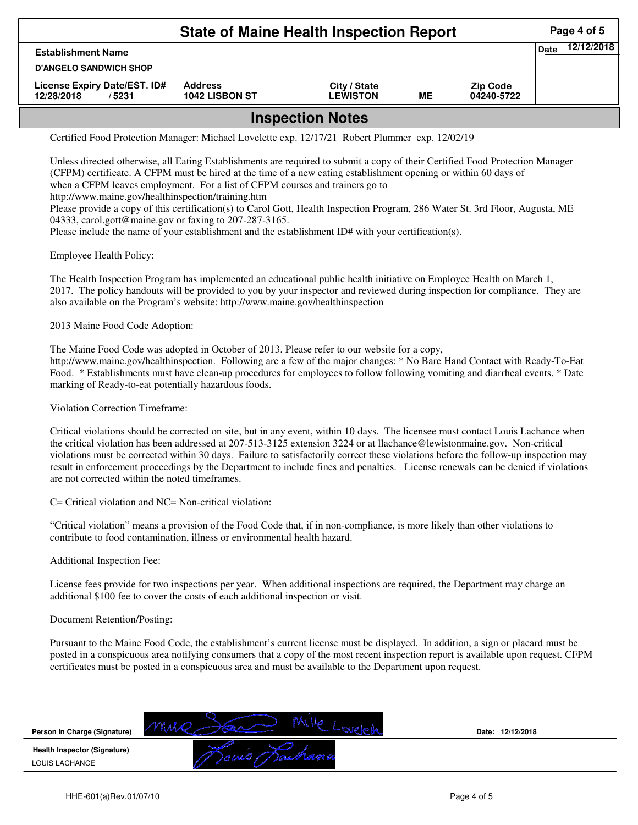| <b>State of Maine Health Inspection Report</b>       |                                  |                                 |    |                               |      |            |  |  |
|------------------------------------------------------|----------------------------------|---------------------------------|----|-------------------------------|------|------------|--|--|
| <b>Establishment Name</b>                            |                                  |                                 |    |                               | Date | 12/12/2018 |  |  |
| <b>D'ANGELO SANDWICH SHOP</b>                        |                                  |                                 |    |                               |      |            |  |  |
| License Expiry Date/EST. ID#<br>12/28/2018<br>/ 5231 | <b>Address</b><br>1042 LISBON ST | City / State<br><b>LEWISTON</b> | ME | <b>Zip Code</b><br>04240-5722 |      |            |  |  |
| Inonootian Natoo                                     |                                  |                                 |    |                               |      |            |  |  |

**Inspection Notes**

Certified Food Protection Manager: Michael Lovelette exp. 12/17/21 Robert Plummer exp. 12/02/19

Unless directed otherwise, all Eating Establishments are required to submit a copy of their Certified Food Protection Manager (CFPM) certificate. A CFPM must be hired at the time of a new eating establishment opening or within 60 days of when a CFPM leaves employment. For a list of CFPM courses and trainers go to http://www.maine.gov/healthinspection/training.htm Please provide a copy of this certification(s) to Carol Gott, Health Inspection Program, 286 Water St. 3rd Floor, Augusta, ME 04333, carol.gott@maine.gov or faxing to 207-287-3165.

Please include the name of your establishment and the establishment ID# with your certification(s).

Employee Health Policy:

The Health Inspection Program has implemented an educational public health initiative on Employee Health on March 1, 2017. The policy handouts will be provided to you by your inspector and reviewed during inspection for compliance. They are also available on the Program's website: http://www.maine.gov/healthinspection

2013 Maine Food Code Adoption:

The Maine Food Code was adopted in October of 2013. Please refer to our website for a copy, http://www.maine.gov/healthinspection. Following are a few of the major changes: \* No Bare Hand Contact with Ready-To-Eat Food. \* Establishments must have clean-up procedures for employees to follow following vomiting and diarrheal events. \* Date marking of Ready-to-eat potentially hazardous foods.

Violation Correction Timeframe:

Critical violations should be corrected on site, but in any event, within 10 days. The licensee must contact Louis Lachance when the critical violation has been addressed at 207-513-3125 extension 3224 or at llachance@lewistonmaine.gov. Non-critical violations must be corrected within 30 days. Failure to satisfactorily correct these violations before the follow-up inspection may result in enforcement proceedings by the Department to include fines and penalties. License renewals can be denied if violations are not corrected within the noted timeframes.

C= Critical violation and NC= Non-critical violation:

"Critical violation" means a provision of the Food Code that, if in non-compliance, is more likely than other violations to contribute to food contamination, illness or environmental health hazard.

Additional Inspection Fee:

License fees provide for two inspections per year. When additional inspections are required, the Department may charge an additional \$100 fee to cover the costs of each additional inspection or visit.

## Document Retention/Posting:

Pursuant to the Maine Food Code, the establishment's current license must be displayed. In addition, a sign or placard must be posted in a conspicuous area notifying consumers that a copy of the most recent inspection report is available upon request. CFPM certificates must be posted in a conspicuous area and must be available to the Department upon request.